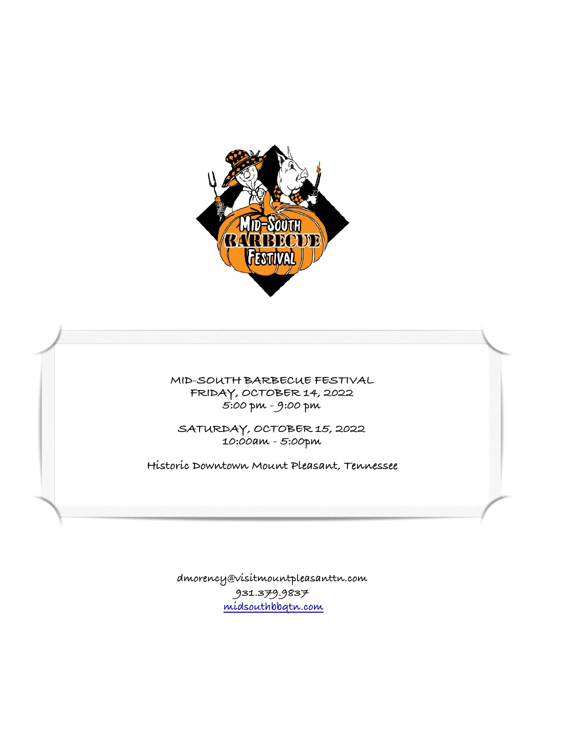

**MID-SOUTH BARBECUE FESTIVAL FRIDAY, OCTOBER 14, 2022 5:00 pm - 9:00 pm** 

**SATURDAY, OCTOBER 15, 2022 10:00am - 5:00pm** 

**Historic Downtown Mount Pleasant, Tennessee**

**dmorency@visitmountpleasanttn.com 931.379.9837 [midsouthbbqtn.com](http://midsouthbbqtn.com)**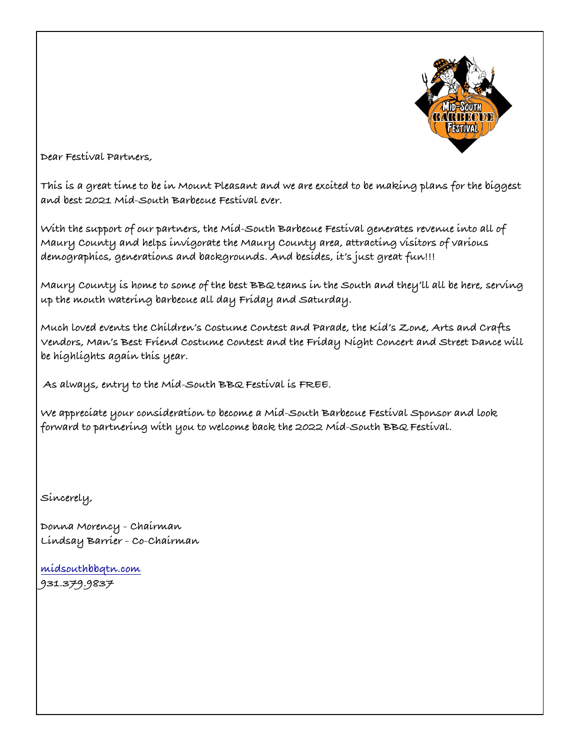

**Dear Festival Partners,** 

**This is a great time to be in Mount Pleasant and we are excited to be making plans for the biggest and best 2021 Mid-South Barbecue Festival ever.** 

**With the support of our partners, the Mid-South Barbecue Festival generates revenue into all of Maury County and helps invigorate the Maury County area, attracting visitors of various demographics, generations and backgrounds. And besides, it's just great fun!!!** 

**Maury County is home to some of the best BBQ teams in the South and they'll all be here, serving up the mouth watering barbecue all day Friday and Saturday.** 

**Much loved events the Children's Costume Contest and Parade, the Kid's Zone, Arts and Crafts Vendors, Man's Best Friend Costume Contest and the Friday Night Concert and Street Dance will be highlights again this year.** 

 **As always, entry to the Mid-South BBQ Festival is FREE.** 

**We appreciate your consideration to become a Mid-South Barbecue Festival Sponsor and look forward to partnering with you to welcome back the 2022 Mid-South BBQ Festival.** 

**Sincerely,** 

**Donna Morency - Chairman Lindsay Barrier - Co-Chairman** 

**[midsouthbbqtn.com](http://midsouthbbqtn.com) 931.379.9837**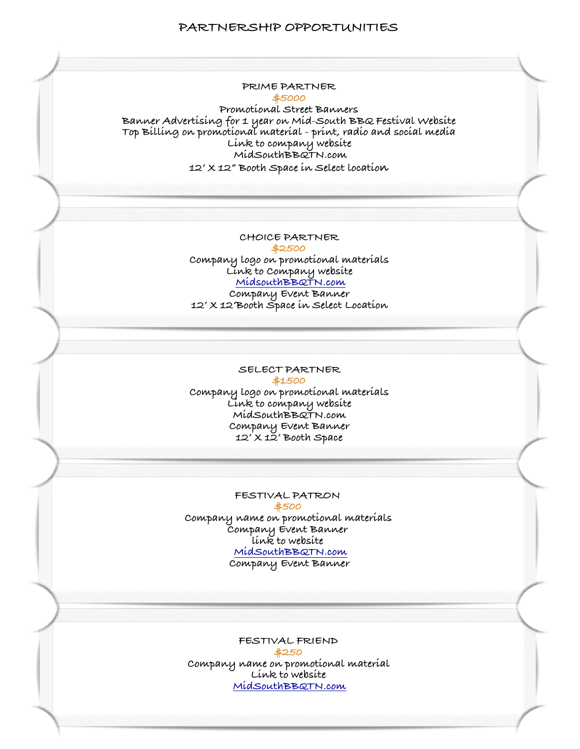## **PARTNERSHIP OPPORTUNITIES**



**Promotional Street Banners Banner Advertising for 1 year on Mid-South BBQ Festival Website Top Billing on promotional material - print, radio and social media Link to company website MidSouthBBQTN.com 12' X 12" Booth Space in Select location**

> **CHOICE PARTNER \$2500 Company logo on promotional materials Link to Company website [MidsouthBBQTN.com](http://MidsouthBBQTN.com) Comp[any Event Banner](http://MidsouthBBQTN.com) 12' X 12'Boot[h Space in Select Locat](http://MidsouthBBQTN.com)ion**

## **SELECT PARTNER \$1500**

**Company logo on promotional materials Link to company website MidSouthBBQTN.com Company Event Banner 12' X 12' Booth Space**

## **FESTIVAL PATRON**

**\$500 Company name on promotional materials Company Event Banner link to website [MidSouthBBQTN.com](http://MidSouthBBQTN.com) Comp[any Event Banner](http://MidSouthBBQTN.com)**

**FESTIVAL FRIEND \$250 Company name on promotional material Link to website [MidSouthBBQTN.com](http://MidSouthBBQTN.com)**